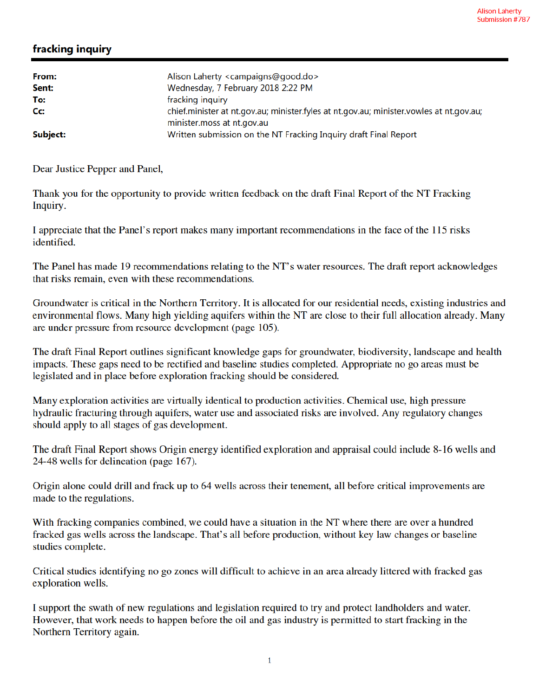## fracking inquiry

| From:<br>Sent: | Alison Laherty <campaigns@good.do><br/>Wednesday, 7 February 2018 2:22 PM</campaigns@good.do>                         |
|----------------|-----------------------------------------------------------------------------------------------------------------------|
| To:            | fracking inquiry                                                                                                      |
| Cc:            | chief.minister at nt.gov.au; minister.fyles at nt.gov.au; minister.vowles at nt.gov.au;<br>minister.moss at nt.gov.au |
| Subject:       | Written submission on the NT Fracking Inquiry draft Final Report                                                      |

Dear Justice Pepper and Panel,

Thank you for the opportunity to provide written feedback on the draft Final Report of the NT Fracking Inquiry.

I appreciate that the Panel's report makes many important recommendations in the face of the 115 risks identified.

The Panel has made 19 recommendations relating to the NT's water resources. The draft report acknowledges that risks remain, even with these recommendations.

Groundwater is critical in the Northern Territory. It is allocated for our residential needs, existing industries and environmental flows. Many high yielding aquifers within the NT are close to their full allocation already. Many are under pressure from resource development (page 105).

The draft Final Report outlines significant knowledge gaps for groundwater, biodiversity, landscape and health impacts. These gaps need to be rectified and baseline studies completed. Appropriate no go areas must be legislated and in place before exploration fracking should be considered.

Many exploration activities are virtually identical to production activities. Chemical use, high pressure hydraulic fracturing through aquifers, water use and associated risks are involved. Any regulatory changes should apply to all stages of gas development.

The draft Final Report shows Origin energy identified exploration and appraisal could include 8-16 wells and 24-48 wells for delineation (page 167).

Origin alone could drill and frack up to 64 wells across their tenement, all before critical improvements are made to the regulations.

With fracking companies combined, we could have a situation in the NT where there are over a hundred fracked gas wells across the landscape. That's all before production, without key law changes or baseline studies complete.

Critical studies identifying no go zones will difficult to achieve in an area already littered with fracked gas exploration wells.

I support the swath of new regulations and legislation required to try and protect landholders and water. However, that work needs to happen before the oil and gas industry is permitted to start fracking in the Northern Territory again.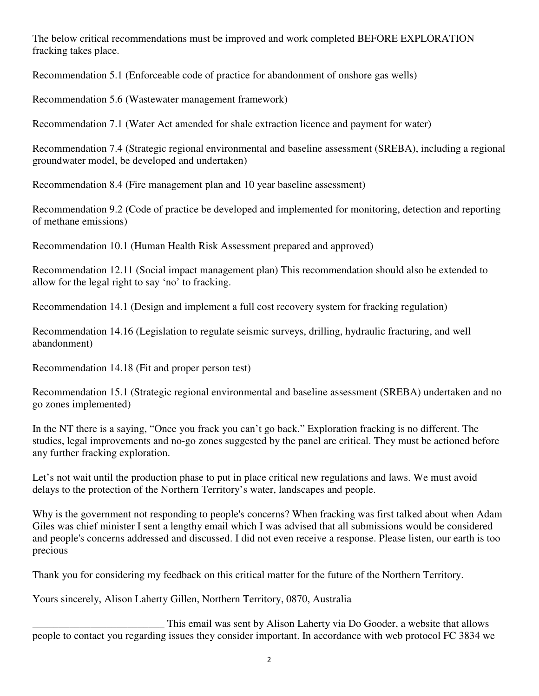The below critical recommendations must be improved and work completed BEFORE EXPLORATION fracking takes place.

Recommendation 5.1 (Enforceable code of practice for abandonment of onshore gas wells)

Recommendation 5.6 (Wastewater management framework)

Recommendation 7.1 (Water Act amended for shale extraction licence and payment for water)

Recommendation 7.4 (Strategic regional environmental and baseline assessment (SREBA), including a regional groundwater model, be developed and undertaken)

Recommendation 8.4 (Fire management plan and 10 year baseline assessment)

Recommendation 9.2 (Code of practice be developed and implemented for monitoring, detection and reporting of methane emissions)

Recommendation 10.1 (Human Health Risk Assessment prepared and approved)

Recommendation 12.11 (Social impact management plan) This recommendation should also be extended to allow for the legal right to say 'no' to fracking.

Recommendation 14.1 (Design and implement a full cost recovery system for fracking regulation)

Recommendation 14.16 (Legislation to regulate seismic surveys, drilling, hydraulic fracturing, and well abandonment)

Recommendation 14.18 (Fit and proper person test)

Recommendation 15.1 (Strategic regional environmental and baseline assessment (SREBA) undertaken and no go zones implemented)

In the NT there is a saying, "Once you frack you can't go back." Exploration fracking is no different. The studies, legal improvements and no-go zones suggested by the panel are critical. They must be actioned before any further fracking exploration.

Let's not wait until the production phase to put in place critical new regulations and laws. We must avoid delays to the protection of the Northern Territory's water, landscapes and people.

Why is the government not responding to people's concerns? When fracking was first talked about when Adam Giles was chief minister I sent a lengthy email which I was advised that all submissions would be considered and people's concerns addressed and discussed. I did not even receive a response. Please listen, our earth is too precious

Thank you for considering my feedback on this critical matter for the future of the Northern Territory.

Yours sincerely, Alison Laherty Gillen, Northern Territory, 0870, Australia

This email was sent by Alison Laherty via Do Gooder, a website that allows<br>people to contact you regarding issues they consider important. In accordance with web protocol FC 3834 we